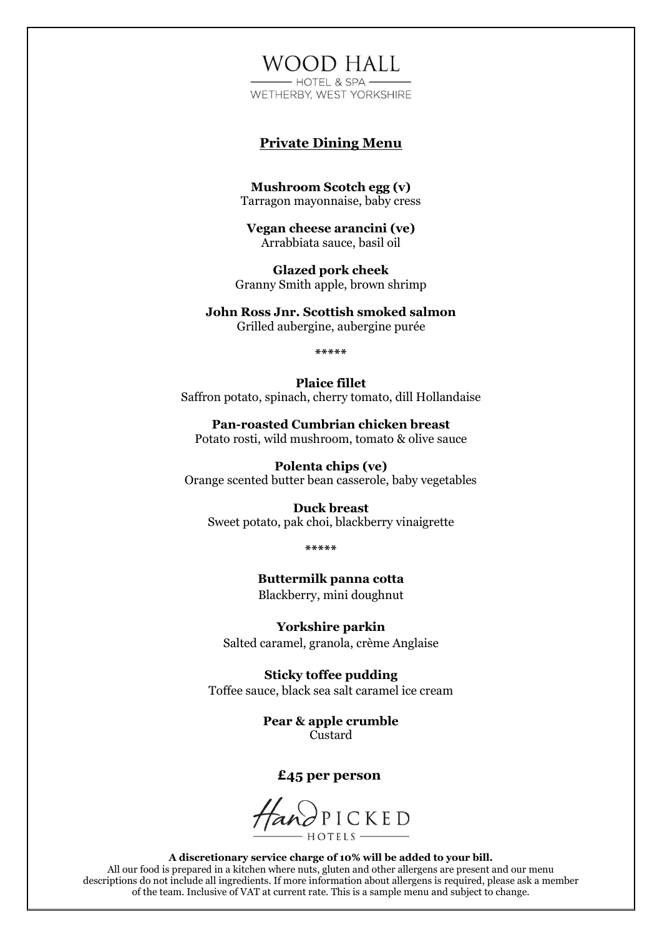# **WOOD HALL**

 $-HOTFI$  & SPA  $-$ WETHERBY, WEST YORKSHIRE

### **Private Dining Menu**

**Mushroom Scotch egg (v)**  Tarragon mayonnaise, baby cress

**Vegan cheese arancini (ve)**  Arrabbiata sauce, basil oil

**Glazed pork cheek**  Granny Smith apple, brown shrimp

**John Ross Jnr. Scottish smoked salmon**  Grilled aubergine, aubergine purée

**\*\*\*\*\***

**Plaice fillet**  Saffron potato, spinach, cherry tomato, dill Hollandaise

**Pan-roasted Cumbrian chicken breast**  Potato rosti, wild mushroom, tomato & olive sauce

**Polenta chips (ve)**  Orange scented butter bean casserole, baby vegetables

**Duck breast**  Sweet potato, pak choi, blackberry vinaigrette

**\*\*\*\*\***

**Buttermilk panna cotta**  Blackberry, mini doughnut

**Yorkshire parkin**  Salted caramel, granola, crème Anglaise

**Sticky toffee pudding**  Toffee sauce, black sea salt caramel ice cream

> **Pear & apple crumble**  Custard

### **£45 per person**

HandPICKED HOTELS-

**A discretionary service charge of 10% will be added to your bill.** All our food is prepared in a kitchen where nuts, gluten and other allergens are present and our menu descriptions do not include all ingredients. If more information about allergens is required, please ask a member of the team. Inclusive of VAT at current rate. This is a sample menu and subject to change.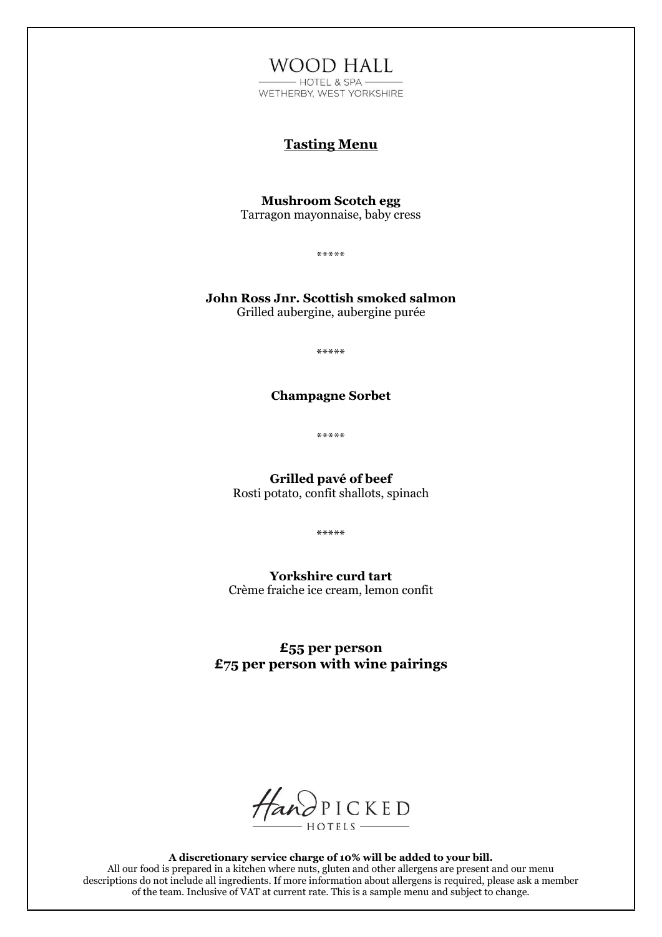**WOOD HALL** - HOTEL & SPA -WETHERBY, WEST YORKSHIRE

## **Tasting Menu**

**Mushroom Scotch egg**  Tarragon mayonnaise, baby cress

\*\*\*\*\*

**John Ross Jnr. Scottish smoked salmon**  Grilled aubergine, aubergine purée

\*\*\*\*\*

### **Champagne Sorbet**

\*\*\*\*\*

**Grilled pavé of beef**  Rosti potato, confit shallots, spinach

\*\*\*\*\*

**Yorkshire curd tart** Crème fraiche ice cream, lemon confit

**£55 per person £75 per person with wine pairings** 



**A discretionary service charge of 10% will be added to your bill.** All our food is prepared in a kitchen where nuts, gluten and other allergens are present and our menu descriptions do not include all ingredients. If more information about allergens is required, please ask a member of the team. Inclusive of VAT at current rate. This is a sample menu and subject to change.